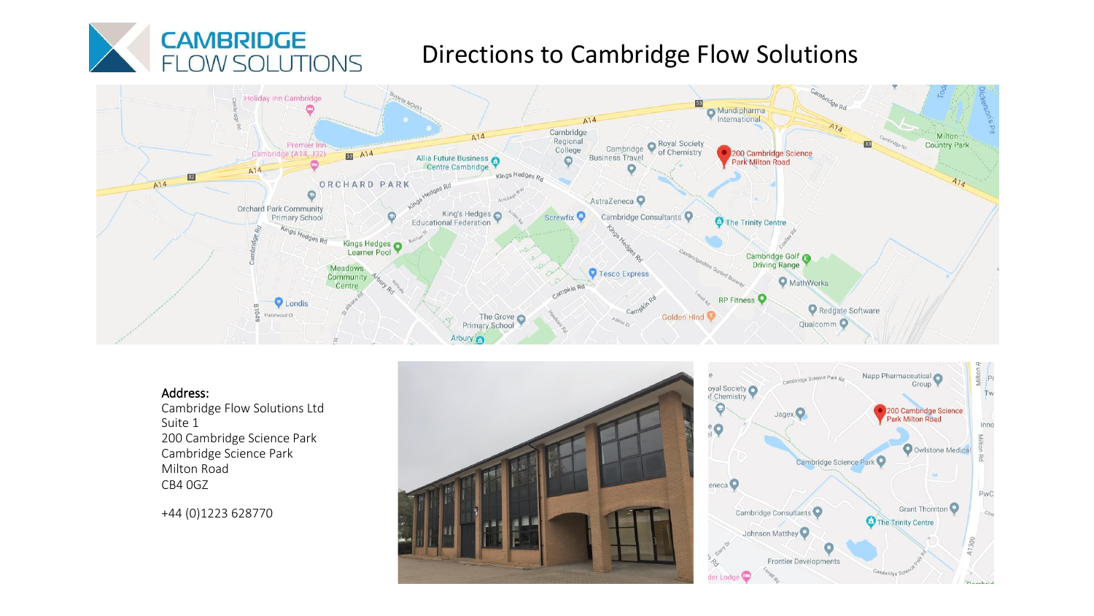

# Directions to Cambridge Flow Solutions



#### Address:

Cambridge Flow Solutions Ltd Suite 1 200 Cambridge Science Park Cambridge Science Park Milton Road CB4 0GZ

+44 (0)1223 628770



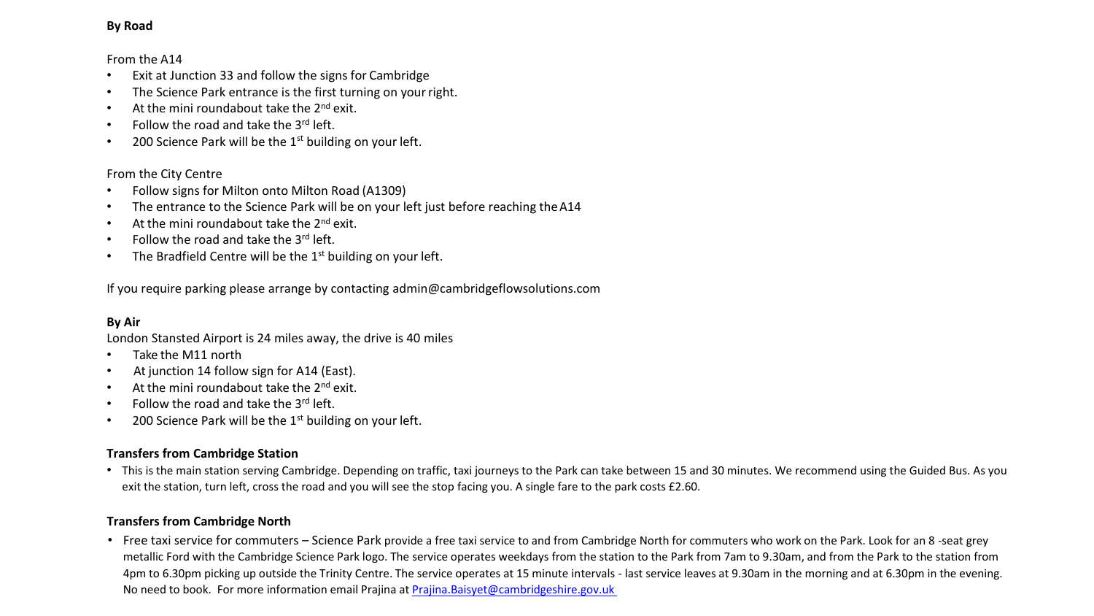## **By Road**

### From the A14

- Exit at Junction 33 and follow the signs for Cambridge
- The Science Park entrance is the first turning on your right.
- At the mini roundabout take the  $2^{nd}$  exit.
- Follow the road and take the  $3^{\text{rd}}$  left.
- 200 Science Park will be the  $1<sup>st</sup>$  building on your left.

# From the City Centre

- Follow signs for Milton onto Milton Road (A1309)
- The entrance to the Science Park will be on your left just before reaching the A14
- At the mini roundabout take the  $2^{nd}$  exit.
- Follow the road and take the  $3^{\text{rd}}$  left.
- The Bradfield Centre will be the  $1<sup>st</sup>$  building on your left.

If you require parking please arrange by contacting [admin@cambridgeflowsolutions.com](mailto:admin@cambridgeflowsolutions.com)

# **By Air**

London Stansted Airport is 24 miles away, the drive is 40 miles

- Take the M11 north
- At junction 14 follow sign for A14 (East).
- At the mini roundabout take the 2<sup>nd</sup> exit.
- Follow the road and take the  $3<sup>rd</sup>$  left.
- 200 Science Park will be the  $1<sup>st</sup>$  building on your left.

# **Transfers from Cambridge Station**

• This is the main station serving Cambridge. Depending on traffic, taxi journeys to the Park can take between 15 and 30 minutes. We recommend using the Guided Bus. As you exit the station, turn left, cross the road and you will see the stop facing you. A single fare to the park costs £2.60.

# **Transfers from Cambridge North**

• Free taxi service for commuters – Science Park provide a free taxi service to and from Cambridge North for commuters who work on the Park. Look for an 8 -seat grey metallic Ford with the Cambridge Science Park logo. The service operates weekdays from the station to the Park from 7am to 9.30am, and from the Park to the station from 4pm to 6.30pm picking up outside the Trinity Centre. The service operates at 15 minute intervals - last service leaves at 9.30am in the morning and at 6.30pm in the evening. No need to book. For more information email Prajina at [Prajina.Baisyet@cambridgeshire.gov.uk](mailto:Prajina.Baisyet@cambridgeshire.gov.uk)